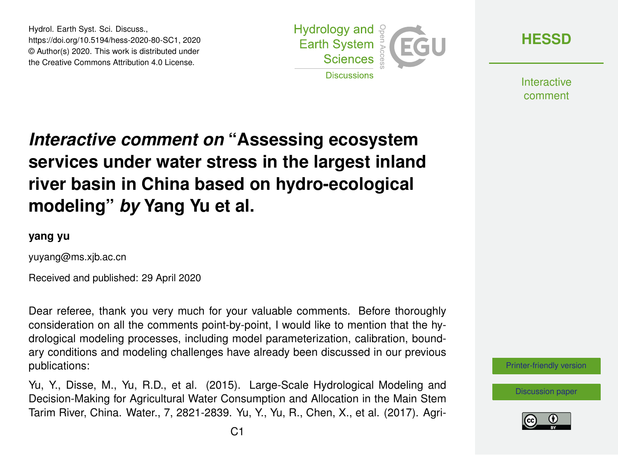Hydrol. Earth Syst. Sci. Discuss., https://doi.org/10.5194/hess-2020-80-SC1, 2020 © Author(s) 2020. This work is distributed under the Creative Commons Attribution 4.0 License.



**[HESSD](https://www.hydrol-earth-syst-sci-discuss.net/)**

**Interactive** comment

## *Interactive comment on* **"Assessing ecosystem services under water stress in the largest inland river basin in China based on hydro-ecological modeling"** *by* **Yang Yu et al.**

## **yang yu**

yuyang@ms.xjb.ac.cn

Received and published: 29 April 2020

Dear referee, thank you very much for your valuable comments. Before thoroughly consideration on all the comments point-by-point, I would like to mention that the hydrological modeling processes, including model parameterization, calibration, boundary conditions and modeling challenges have already been discussed in our previous publications:

Yu, Y., Disse, M., Yu, R.D., et al. (2015). Large-Scale Hydrological Modeling and Decision-Making for Agricultural Water Consumption and Allocation in the Main Stem Tarim River, China. Water., 7, 2821-2839. Yu, Y., Yu, R., Chen, X., et al. (2017). Agri-



[Discussion paper](https://www.hydrol-earth-syst-sci-discuss.net/hess-2020-80)